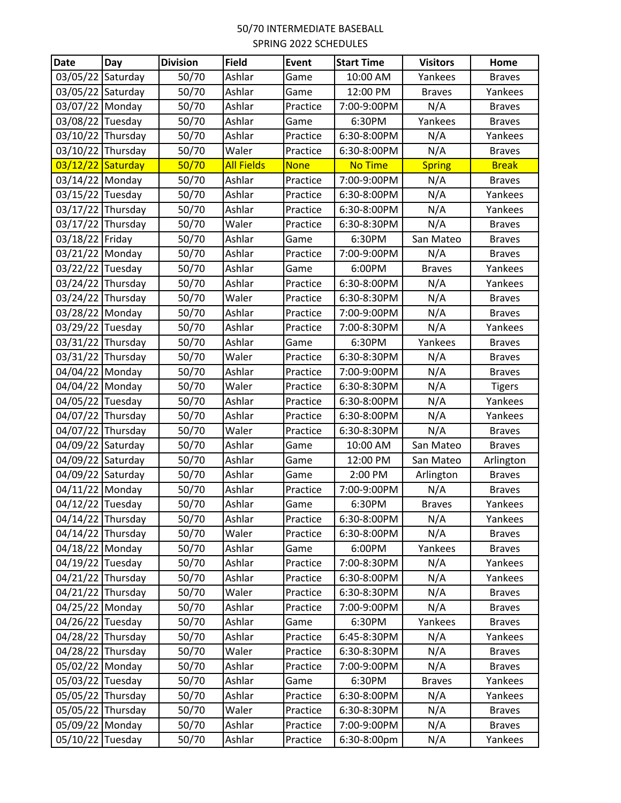## 50/70 INTERMEDIATE BASEBALL SPRING 2022 SCHEDULES

| <b>Date</b>       | Day | <b>Division</b> | <b>Field</b>      | Event       | <b>Start Time</b> | <b>Visitors</b> | Home          |
|-------------------|-----|-----------------|-------------------|-------------|-------------------|-----------------|---------------|
| 03/05/22 Saturday |     | 50/70           | Ashlar            | Game        | 10:00 AM          | Yankees         | <b>Braves</b> |
| 03/05/22 Saturday |     | 50/70           | Ashlar            | Game        | 12:00 PM          | <b>Braves</b>   | Yankees       |
| 03/07/22 Monday   |     | 50/70           | Ashlar            | Practice    | 7:00-9:00PM       | N/A             | <b>Braves</b> |
| 03/08/22 Tuesday  |     | 50/70           | Ashlar            | Game        | 6:30PM            | Yankees         | <b>Braves</b> |
| 03/10/22 Thursday |     | 50/70           | Ashlar            | Practice    | 6:30-8:00PM       | N/A             | Yankees       |
| 03/10/22 Thursday |     | 50/70           | Waler             | Practice    | 6:30-8:00PM       | N/A             | <b>Braves</b> |
| 03/12/22 Saturday |     | 50/70           | <b>All Fields</b> | <b>None</b> | <b>No Time</b>    | <b>Spring</b>   | <b>Break</b>  |
| 03/14/22 Monday   |     | 50/70           | Ashlar            | Practice    | 7:00-9:00PM       | N/A             | <b>Braves</b> |
| 03/15/22 Tuesday  |     | 50/70           | Ashlar            | Practice    | 6:30-8:00PM       | N/A             | Yankees       |
| 03/17/22 Thursday |     | 50/70           | Ashlar            | Practice    | 6:30-8:00PM       | N/A             | Yankees       |
| 03/17/22 Thursday |     | 50/70           | Waler             | Practice    | 6:30-8:30PM       | N/A             | <b>Braves</b> |
| 03/18/22 Friday   |     | 50/70           | Ashlar            | Game        | 6:30PM            | San Mateo       | <b>Braves</b> |
| 03/21/22 Monday   |     | 50/70           | Ashlar            | Practice    | 7:00-9:00PM       | N/A             | <b>Braves</b> |
| 03/22/22 Tuesday  |     | 50/70           | Ashlar            | Game        | 6:00PM            | <b>Braves</b>   | Yankees       |
| 03/24/22 Thursday |     | 50/70           | Ashlar            | Practice    | 6:30-8:00PM       | N/A             | Yankees       |
| 03/24/22 Thursday |     | 50/70           | Waler             | Practice    | 6:30-8:30PM       | N/A             | <b>Braves</b> |
| 03/28/22 Monday   |     | 50/70           | Ashlar            | Practice    | 7:00-9:00PM       | N/A             | <b>Braves</b> |
| 03/29/22 Tuesday  |     | 50/70           | Ashlar            | Practice    | 7:00-8:30PM       | N/A             | Yankees       |
| 03/31/22 Thursday |     | 50/70           | Ashlar            | Game        | 6:30PM            | Yankees         | <b>Braves</b> |
| 03/31/22 Thursday |     | 50/70           | Waler             | Practice    | 6:30-8:30PM       | N/A             | <b>Braves</b> |
| 04/04/22 Monday   |     | 50/70           | Ashlar            | Practice    | 7:00-9:00PM       | N/A             | <b>Braves</b> |
| 04/04/22 Monday   |     | 50/70           | Waler             | Practice    | 6:30-8:30PM       | N/A             | <b>Tigers</b> |
| 04/05/22 Tuesday  |     | 50/70           | Ashlar            | Practice    | 6:30-8:00PM       | N/A             | Yankees       |
| 04/07/22 Thursday |     | 50/70           | Ashlar            | Practice    | 6:30-8:00PM       | N/A             | Yankees       |
| 04/07/22 Thursday |     | 50/70           | Waler             | Practice    | 6:30-8:30PM       | N/A             | <b>Braves</b> |
| 04/09/22 Saturday |     | 50/70           | Ashlar            | Game        | 10:00 AM          | San Mateo       | <b>Braves</b> |
| 04/09/22 Saturday |     | 50/70           | Ashlar            | Game        | 12:00 PM          | San Mateo       | Arlington     |
| 04/09/22 Saturday |     | 50/70           | Ashlar            | Game        | 2:00 PM           | Arlington       | <b>Braves</b> |
| 04/11/22 Monday   |     | 50/70           | Ashlar            | Practice    | 7:00-9:00PM       | N/A             | <b>Braves</b> |
| 04/12/22 Tuesday  |     | 50/70           | Ashlar            | Game        | 6:30PM            | <b>Braves</b>   | Yankees       |
| 04/14/22 Thursday |     | 50/70           | Ashlar            | Practice    | 6:30-8:00PM       | N/A             | Yankees       |
| 04/14/22 Thursday |     | 50/70           | Waler             | Practice    | 6:30-8:00PM       | N/A             | <b>Braves</b> |
| 04/18/22 Monday   |     | 50/70           | Ashlar            | Game        | 6:00PM            | Yankees         | <b>Braves</b> |
| 04/19/22 Tuesday  |     | 50/70           | Ashlar            | Practice    | 7:00-8:30PM       | N/A             | Yankees       |
| 04/21/22 Thursday |     | 50/70           | Ashlar            | Practice    | 6:30-8:00PM       | N/A             | Yankees       |
| 04/21/22 Thursday |     | 50/70           | Waler             | Practice    | 6:30-8:30PM       | N/A             | <b>Braves</b> |
| 04/25/22 Monday   |     | 50/70           | Ashlar            | Practice    | 7:00-9:00PM       | N/A             | <b>Braves</b> |
| 04/26/22 Tuesday  |     | 50/70           | Ashlar            | Game        | 6:30PM            | Yankees         | <b>Braves</b> |
| 04/28/22 Thursday |     | 50/70           | Ashlar            | Practice    | 6:45-8:30PM       | N/A             | Yankees       |
| 04/28/22 Thursday |     | 50/70           | Waler             | Practice    | 6:30-8:30PM       | N/A             | <b>Braves</b> |
| 05/02/22 Monday   |     | 50/70           | Ashlar            | Practice    | 7:00-9:00PM       | N/A             | <b>Braves</b> |
| 05/03/22 Tuesday  |     | 50/70           | Ashlar            | Game        | 6:30PM            | <b>Braves</b>   | Yankees       |
| 05/05/22 Thursday |     | 50/70           | Ashlar            | Practice    | 6:30-8:00PM       | N/A             | Yankees       |
| 05/05/22 Thursday |     | 50/70           | Waler             | Practice    | 6:30-8:30PM       | N/A             | <b>Braves</b> |
| 05/09/22 Monday   |     | 50/70           | Ashlar            | Practice    | 7:00-9:00PM       | N/A             | <b>Braves</b> |
| 05/10/22 Tuesday  |     | 50/70           | Ashlar            | Practice    | 6:30-8:00pm       | N/A             | Yankees       |